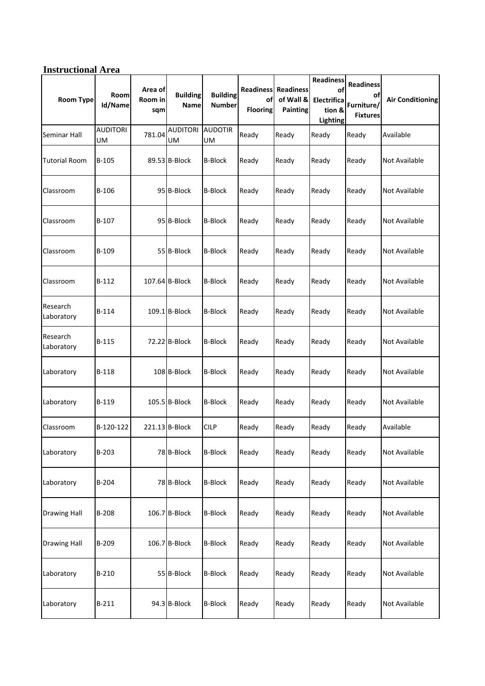## **Instructional Area**

| <b>Room Type</b>       | <b>Room</b><br>Id/Name | Area of<br>Room in<br>sqm | <b>Building</b><br>Name | <b>Building</b><br><b>Number</b> | οf<br><b>Flooring</b> | <b>Readiness Readiness</b><br>of Wall &<br><b>Painting</b> | <b>Readiness</b><br>of<br>Electrifica<br>tion &<br>Lighting | <b>Readiness</b><br>οf<br>Furniture/<br><b>Fixtures</b> | <b>Air Conditioning</b> |
|------------------------|------------------------|---------------------------|-------------------------|----------------------------------|-----------------------|------------------------------------------------------------|-------------------------------------------------------------|---------------------------------------------------------|-------------------------|
| Seminar Hall           | <b>AUDITORI</b><br>UM  | 781.04                    | <b>AUDITORI</b><br>UM   | <b>AUDOTIR</b><br>UM             | Ready                 | Ready                                                      | Ready                                                       | Ready                                                   | Available               |
| <b>Tutorial Room</b>   | $B-105$                |                           | 89.53 B-Block           | <b>B-Block</b>                   | Ready                 | Ready                                                      | Ready                                                       | Ready                                                   | Not Available           |
| Classroom              | B-106                  |                           | 95 B-Block              | <b>B-Block</b>                   | Ready                 | Ready                                                      | Ready                                                       | Ready                                                   | <b>Not Available</b>    |
| Classroom              | $B-107$                |                           | 95 B-Block              | <b>B-Block</b>                   | Ready                 | Ready                                                      | Ready                                                       | Ready                                                   | <b>Not Available</b>    |
| Classroom              | B-109                  |                           | 55 B-Block              | <b>B-Block</b>                   | Ready                 | Ready                                                      | Ready                                                       | Ready                                                   | Not Available           |
| Classroom              | $B-112$                |                           | 107.64 B-Block          | <b>B-Block</b>                   | Ready                 | Ready                                                      | Ready                                                       | Ready                                                   | Not Available           |
| Research<br>Laboratory | B-114                  |                           | 109.1 B-Block           | <b>B-Block</b>                   | Ready                 | Ready                                                      | Ready                                                       | Ready                                                   | <b>Not Available</b>    |
| Research<br>Laboratory | B-115                  |                           | 72.22 B-Block           | <b>B-Block</b>                   | Ready                 | Ready                                                      | Ready                                                       | Ready                                                   | Not Available           |
| Laboratory             | B-118                  |                           | 108 B-Block             | <b>B-Block</b>                   | Ready                 | Ready                                                      | Ready                                                       | Ready                                                   | Not Available           |
| Laboratory             | B-119                  |                           | 105.5 B-Block           | <b>B-Block</b>                   | Ready                 | Ready                                                      | Ready                                                       | Ready                                                   | Not Available           |
| Classroom              | B-120-122              |                           | 221.13 B-Block          | <b>CILP</b>                      | Ready                 | Ready                                                      | Ready                                                       | Ready                                                   | Available               |
| Laboratory             | B-203                  |                           | 78 B-Block              | <b>B-Block</b>                   | Ready                 | Ready                                                      | Ready                                                       | Ready                                                   | <b>Not Available</b>    |
| Laboratory             | B-204                  |                           | 78 B-Block              | <b>B-Block</b>                   | Ready                 | Ready                                                      | Ready                                                       | Ready                                                   | <b>Not Available</b>    |
| <b>Drawing Hall</b>    | $B-208$                |                           | 106.7 B-Block           | <b>B-Block</b>                   | Ready                 | Ready                                                      | Ready                                                       | Ready                                                   | <b>Not Available</b>    |
| <b>Drawing Hall</b>    | B-209                  |                           | 106.7 B-Block           | <b>B-Block</b>                   | Ready                 | Ready                                                      | Ready                                                       | Ready                                                   | Not Available           |
| Laboratory             | B-210                  |                           | 55 B-Block              | <b>B-Block</b>                   | Ready                 | Ready                                                      | Ready                                                       | Ready                                                   | Not Available           |
| Laboratory             | $B-211$                |                           | 94.3 B-Block            | <b>B-Block</b>                   | Ready                 | Ready                                                      | Ready                                                       | Ready                                                   | Not Available           |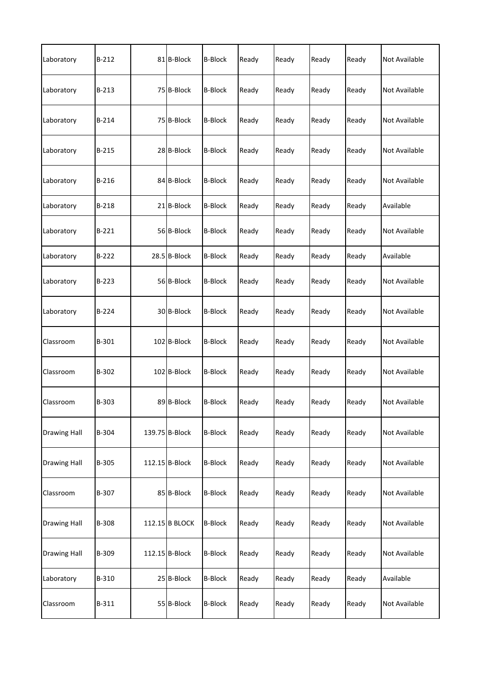| Laboratory          | $B-212$ | 81 B-Block     | <b>B-Block</b> | Ready | Ready | Ready | Ready | <b>Not Available</b> |
|---------------------|---------|----------------|----------------|-------|-------|-------|-------|----------------------|
| Laboratory          | B-213   | 75 B-Block     | <b>B-Block</b> | Ready | Ready | Ready | Ready | Not Available        |
| Laboratory          | B-214   | 75 B-Block     | <b>B-Block</b> | Ready | Ready | Ready | Ready | Not Available        |
| Laboratory          | B-215   | 28 B-Block     | <b>B-Block</b> | Ready | Ready | Ready | Ready | <b>Not Available</b> |
| Laboratory          | $B-216$ | 84 B-Block     | <b>B-Block</b> | Ready | Ready | Ready | Ready | <b>Not Available</b> |
| Laboratory          | B-218   | 21 B-Block     | <b>B-Block</b> | Ready | Ready | Ready | Ready | Available            |
| Laboratory          | $B-221$ | 56 B-Block     | <b>B-Block</b> | Ready | Ready | Ready | Ready | <b>Not Available</b> |
| Laboratory          | $B-222$ | 28.5 B-Block   | <b>B-Block</b> | Ready | Ready | Ready | Ready | Available            |
| Laboratory          | $B-223$ | 56 B-Block     | <b>B-Block</b> | Ready | Ready | Ready | Ready | Not Available        |
| Laboratory          | $B-224$ | 30 B-Block     | <b>B-Block</b> | Ready | Ready | Ready | Ready | <b>Not Available</b> |
| Classroom           | B-301   | 102 B-Block    | <b>B-Block</b> | Ready | Ready | Ready | Ready | <b>Not Available</b> |
| Classroom           | B-302   | 102 B-Block    | <b>B-Block</b> | Ready | Ready | Ready | Ready | Not Available        |
| Classroom           | B-303   | 89 B-Block     | <b>B-Block</b> | Ready | Ready | Ready | Ready | Not Available        |
| <b>Drawing Hall</b> | B-304   | 139.75 B-Block | <b>B-Block</b> | Ready | Ready | Ready | Ready | <b>Not Available</b> |
| <b>Drawing Hall</b> | B-305   | 112.15 B-Block | <b>B-Block</b> | Ready | Ready | Ready | Ready | <b>Not Available</b> |
| Classroom           | B-307   | 85 B-Block     | <b>B-Block</b> | Ready | Ready | Ready | Ready | Not Available        |
| <b>Drawing Hall</b> | B-308   | 112.15 B BLOCK | <b>B-Block</b> | Ready | Ready | Ready | Ready | <b>Not Available</b> |
| <b>Drawing Hall</b> | B-309   | 112.15 B-Block | <b>B-Block</b> | Ready | Ready | Ready | Ready | Not Available        |
| Laboratory          | B-310   | 25 B-Block     | <b>B-Block</b> | Ready | Ready | Ready | Ready | Available            |
| Classroom           | B-311   | 55 B-Block     | <b>B-Block</b> | Ready | Ready | Ready | Ready | Not Available        |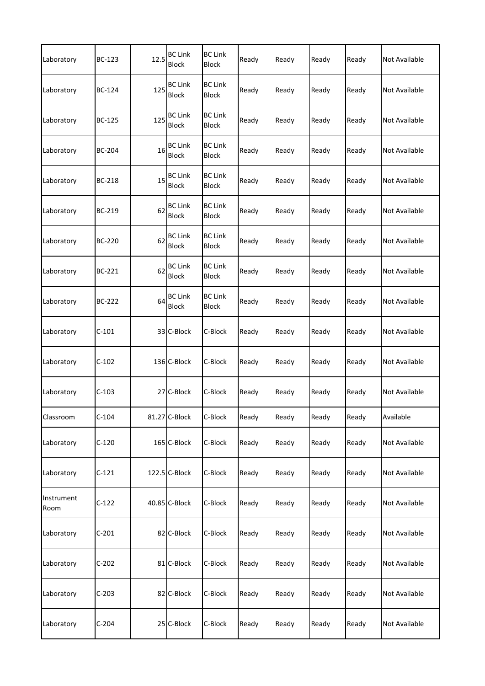| Laboratory         | <b>BC-123</b> | 12.5 | <b>BC Link</b><br><b>Block</b> | <b>BC Link</b><br>Block        | Ready | Ready | Ready | Ready | <b>Not Available</b> |
|--------------------|---------------|------|--------------------------------|--------------------------------|-------|-------|-------|-------|----------------------|
| Laboratory         | BC-124        | 125  | <b>BC Link</b><br><b>Block</b> | <b>BC Link</b><br><b>Block</b> | Ready | Ready | Ready | Ready | Not Available        |
| Laboratory         | <b>BC-125</b> | 125  | <b>BC Link</b><br><b>Block</b> | <b>BC Link</b><br><b>Block</b> | Ready | Ready | Ready | Ready | Not Available        |
| Laboratory         | <b>BC-204</b> | 16   | <b>BC Link</b><br><b>Block</b> | <b>BC Link</b><br><b>Block</b> | Ready | Ready | Ready | Ready | Not Available        |
| Laboratory         | <b>BC-218</b> | 15   | <b>BC Link</b><br><b>Block</b> | <b>BC Link</b><br><b>Block</b> | Ready | Ready | Ready | Ready | Not Available        |
| Laboratory         | BC-219        | 62   | <b>BC Link</b><br><b>Block</b> | <b>BC Link</b><br><b>Block</b> | Ready | Ready | Ready | Ready | Not Available        |
| Laboratory         | BC-220        | 62   | <b>BC Link</b><br><b>Block</b> | <b>BC Link</b><br>Block        | Ready | Ready | Ready | Ready | <b>Not Available</b> |
| Laboratory         | BC-221        | 62   | <b>BC Link</b><br><b>Block</b> | <b>BC Link</b><br>Block        | Ready | Ready | Ready | Ready | <b>Not Available</b> |
| Laboratory         | BC-222        | 64   | <b>BC Link</b><br><b>Block</b> | <b>BC Link</b><br><b>Block</b> | Ready | Ready | Ready | Ready | <b>Not Available</b> |
| Laboratory         | $C-101$       |      | 33 C-Block                     | C-Block                        | Ready | Ready | Ready | Ready | Not Available        |
| Laboratory         | $C-102$       |      | 136 C-Block                    | C-Block                        | Ready | Ready | Ready | Ready | Not Available        |
| Laboratory         | $C-103$       |      | 27 C-Block                     | C-Block                        | Ready | Ready | Ready | Ready | Not Available        |
| Classroom          | $C-104$       |      | 81.27 C-Block                  | C-Block                        | Ready | Ready | Ready | Ready | Available            |
| Laboratory         | $C-120$       |      | 165 C-Block                    | C-Block                        | Ready | Ready | Ready | Ready | Not Available        |
| Laboratory         | $C-121$       |      | 122.5 C-Block                  | C-Block                        | Ready | Ready | Ready | Ready | Not Available        |
| Instrument<br>Room | $C-122$       |      | 40.85 C-Block                  | C-Block                        | Ready | Ready | Ready | Ready | Not Available        |
| Laboratory         | $C-201$       |      | 82 C-Block                     | C-Block                        | Ready | Ready | Ready | Ready | Not Available        |
| Laboratory         | $C-202$       |      | 81 C-Block                     | C-Block                        | Ready | Ready | Ready | Ready | Not Available        |
| Laboratory         | $C-203$       |      | 82 C-Block                     | C-Block                        | Ready | Ready | Ready | Ready | Not Available        |
| Laboratory         | $C-204$       |      | 25 C-Block                     | C-Block                        | Ready | Ready | Ready | Ready | Not Available        |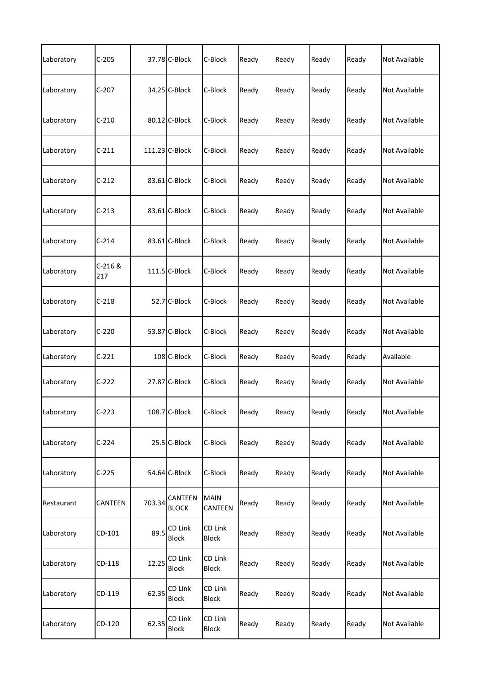| Laboratory | $C-205$        |        | 37.78 C-Block           | C-Block                 | Ready | Ready | Ready | Ready | Not Available        |
|------------|----------------|--------|-------------------------|-------------------------|-------|-------|-------|-------|----------------------|
| Laboratory | $C-207$        |        | 34.25 C-Block           | C-Block                 | Ready | Ready | Ready | Ready | Not Available        |
| Laboratory | $C-210$        |        | 80.12 C-Block           | C-Block                 | Ready | Ready | Ready | Ready | Not Available        |
| Laboratory | $C-211$        |        | 111.23 C-Block          | C-Block                 | Ready | Ready | Ready | Ready | Not Available        |
| Laboratory | $C-212$        |        | 83.61 C-Block           | C-Block                 | Ready | Ready | Ready | Ready | <b>Not Available</b> |
| Laboratory | $C-213$        |        | 83.61 C-Block           | C-Block                 | Ready | Ready | Ready | Ready | Not Available        |
| Laboratory | $C-214$        |        | 83.61 C-Block           | C-Block                 | Ready | Ready | Ready | Ready | <b>Not Available</b> |
| Laboratory | C-216 &<br>217 |        | 111.5 C-Block           | C-Block                 | Ready | Ready | Ready | Ready | Not Available        |
| Laboratory | $C-218$        |        | 52.7 C-Block            | C-Block                 | Ready | Ready | Ready | Ready | Not Available        |
| Laboratory | $C-220$        |        | 53.87 C-Block           | C-Block                 | Ready | Ready | Ready | Ready | Not Available        |
| Laboratory | $C-221$        |        | 108 C-Block             | C-Block                 | Ready | Ready | Ready | Ready | Available            |
| Laboratory | $C-222$        |        | 27.87 C-Block           | C-Block                 | Ready | Ready | Ready | Ready | Not Available        |
| Laboratory | $C-223$        |        | 108.7 C-Block           | C-Block                 | Ready | Ready | Ready | Ready | Not Available        |
| Laboratory | $C-224$        |        | 25.5 C-Block            | C-Block                 | Ready | Ready | Ready | Ready | Not Available        |
| Laboratory | $C-225$        |        | 54.64 C-Block           | C-Block                 | Ready | Ready | Ready | Ready | Not Available        |
| Restaurant | CANTEEN        | 703.34 | CANTEEN<br><b>BLOCK</b> | MAIN<br>CANTEEN         | Ready | Ready | Ready | Ready | Not Available        |
| Laboratory | CD-101         | 89.5   | CD Link<br>Block        | CD Link<br>Block        | Ready | Ready | Ready | Ready | Not Available        |
| Laboratory | CD-118         | 12.25  | CD Link<br><b>Block</b> | CD Link<br><b>Block</b> | Ready | Ready | Ready | Ready | Not Available        |
| Laboratory | CD-119         | 62.35  | CD Link<br><b>Block</b> | CD Link<br>Block        | Ready | Ready | Ready | Ready | Not Available        |
| Laboratory | CD-120         | 62.35  | CD Link<br><b>Block</b> | CD Link<br>Block        | Ready | Ready | Ready | Ready | Not Available        |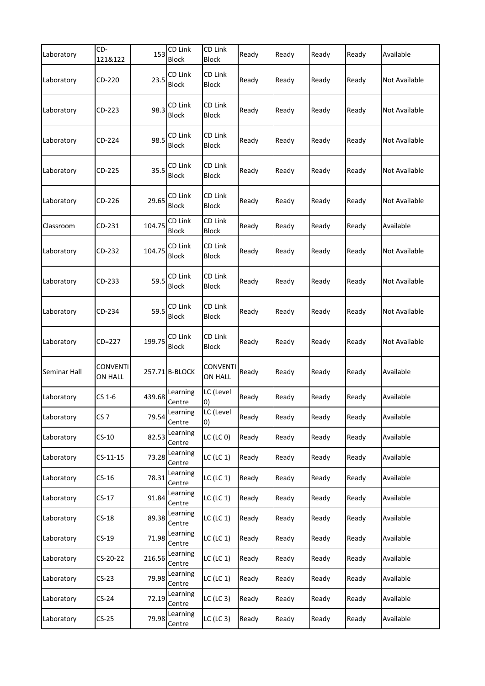| Laboratory   | CD-<br>121&122             | 153    | CD Link<br><b>Block</b> | CD Link<br>Block                  | Ready | Ready | Ready | Ready | Available            |
|--------------|----------------------------|--------|-------------------------|-----------------------------------|-------|-------|-------|-------|----------------------|
| Laboratory   | CD-220                     | 23.5   | CD Link<br><b>Block</b> | CD Link<br><b>Block</b>           | Ready | Ready | Ready | Ready | Not Available        |
| Laboratory   | CD-223                     | 98.3   | CD Link<br><b>Block</b> | CD Link<br><b>Block</b>           | Ready | Ready | Ready | Ready | Not Available        |
| Laboratory   | CD-224                     | 98.5   | CD Link<br><b>Block</b> | CD Link<br><b>Block</b>           | Ready | Ready | Ready | Ready | Not Available        |
| Laboratory   | CD-225                     | 35.5   | CD Link<br><b>Block</b> | CD Link<br><b>Block</b>           | Ready | Ready | Ready | Ready | Not Available        |
| Laboratory   | CD-226                     | 29.65  | CD Link<br><b>Block</b> | CD Link<br><b>Block</b>           | Ready | Ready | Ready | Ready | Not Available        |
| Classroom    | CD-231                     | 104.75 | CD Link<br>Block        | CD Link<br><b>Block</b>           | Ready | Ready | Ready | Ready | Available            |
| Laboratory   | CD-232                     | 104.75 | CD Link<br>Block        | CD Link<br><b>Block</b>           | Ready | Ready | Ready | Ready | Not Available        |
| Laboratory   | CD-233                     | 59.5   | CD Link<br>Block        | CD Link<br><b>Block</b>           | Ready | Ready | Ready | Ready | <b>Not Available</b> |
| Laboratory   | CD-234                     | 59.5   | CD Link<br><b>Block</b> | CD Link<br><b>Block</b>           | Ready | Ready | Ready | Ready | Not Available        |
| Laboratory   | CD=227                     | 199.75 | CD Link<br><b>Block</b> | CD Link<br><b>Block</b>           | Ready | Ready | Ready | Ready | Not Available        |
| Seminar Hall | <b>CONVENTI</b><br>ON HALL |        | 257.71 B-BLOCK          | <b>CONVENTI</b><br><b>ON HALL</b> | Ready | Ready | Ready | Ready | Available            |
| Laboratory   | CS 1-6                     | 439.68 | Learning<br>Centre      | LC (Level<br>0)                   | Ready | Ready | Ready | Ready | Available            |
| Laboratory   | CS <sub>7</sub>            | 79.54  | Learning<br>Centre      | LC (Level<br>0)                   | Ready | Ready | Ready | Ready | Available            |
| Laboratory   | $CS-10$                    | 82.53  | Learning<br>Centre      | $LC$ (LC $0$ )                    | Ready | Ready | Ready | Ready | Available            |
| Laboratory   | $CS-11-15$                 | 73.28  | Learning<br>Centre      | $LC$ (LC $1$ )                    | Ready | Ready | Ready | Ready | Available            |
| Laboratory   | $CS-16$                    | 78.31  | Learning<br>Centre      | $LC$ (LC $1$ )                    | Ready | Ready | Ready | Ready | Available            |
| Laboratory   | $CS-17$                    | 91.84  | Learning<br>Centre      | $LC$ (LC $1$ )                    | Ready | Ready | Ready | Ready | Available            |
| Laboratory   | $CS-18$                    | 89.38  | Learning<br>Centre      | $LC$ (LC $1$ )                    | Ready | Ready | Ready | Ready | Available            |
| Laboratory   | $CS-19$                    | 71.98  | Learning<br>Centre      | $LC$ (LC $1$ )                    | Ready | Ready | Ready | Ready | Available            |
| Laboratory   | CS-20-22                   | 216.56 | Learning<br>Centre      | $LC$ (LC $1$ )                    | Ready | Ready | Ready | Ready | Available            |
| Laboratory   | $CS-23$                    | 79.98  | Learning<br>Centre      | $LC$ (LC $1$ )                    | Ready | Ready | Ready | Ready | Available            |
| Laboratory   | $CS-24$                    | 72.19  | Learning<br>Centre      | $LC$ (LC 3)                       | Ready | Ready | Ready | Ready | Available            |
| Laboratory   | $CS-25$                    | 79.98  | Learning<br>Centre      | $LC$ (LC 3)                       | Ready | Ready | Ready | Ready | Available            |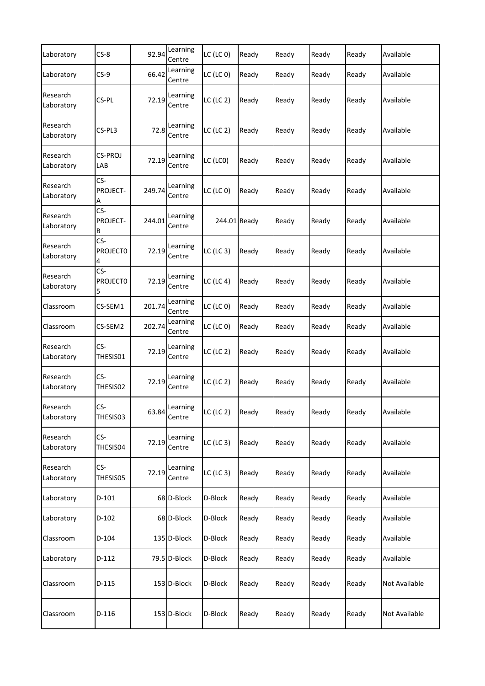| Laboratory             | $CS-8$                      | 92.94  | Learning<br>Centre | $LC$ (LC $0$ ) | Ready | Ready | Ready | Ready | Available     |
|------------------------|-----------------------------|--------|--------------------|----------------|-------|-------|-------|-------|---------------|
| Laboratory             | $CS-9$                      | 66.42  | Learning<br>Centre | $LC$ (LC $0$ ) | Ready | Ready | Ready | Ready | Available     |
| Research<br>Laboratory | CS-PL                       | 72.19  | Learning<br>Centre | $LC$ (LC 2)    | Ready | Ready | Ready | Ready | Available     |
| Research<br>Laboratory | CS-PL3                      | 72.8   | Learning<br>Centre | $LC$ (LC 2)    | Ready | Ready | Ready | Ready | Available     |
| Research<br>Laboratory | CS-PROJ<br>LAB              | 72.19  | Learning<br>Centre | LC (LCO)       | Ready | Ready | Ready | Ready | Available     |
| Research<br>Laboratory | CS-<br>PROJECT-             | 249.74 | Learning<br>Centre | $LC$ (LC $0$ ) | Ready | Ready | Ready | Ready | Available     |
| Research<br>Laboratory | CS-<br>PROJECT-<br>В        | 244.01 | Learning<br>Centre | 244.01 Ready   |       | Ready | Ready | Ready | Available     |
| Research<br>Laboratory | CS-<br><b>PROJECTO</b><br>4 | 72.19  | Learning<br>Centre | $LC$ (LC 3)    | Ready | Ready | Ready | Ready | Available     |
| Research<br>Laboratory | CS-<br><b>PROJECTO</b><br>5 | 72.19  | Learning<br>Centre | $LC$ (LC 4)    | Ready | Ready | Ready | Ready | Available     |
| Classroom              | CS-SEM1                     | 201.74 | Learning<br>Centre | $LC$ (LC $0$ ) | Ready | Ready | Ready | Ready | Available     |
| Classroom              | CS-SEM2                     | 202.74 | Learning<br>Centre | $LC$ (LC $0$ ) | Ready | Ready | Ready | Ready | Available     |
| Research<br>Laboratory | CS-<br>THESIS01             | 72.19  | Learning<br>Centre | $LC$ (LC 2)    | Ready | Ready | Ready | Ready | Available     |
| Research<br>Laboratory | CS-<br>THESIS02             | 72.19  | Learning<br>Centre | $LC$ (LC 2)    | Ready | Ready | Ready | Ready | Available     |
| Research<br>Laboratory | CS-<br>THESIS03             | 63.84  | Learning<br>Centre | $LC$ (LC 2)    | Ready | Ready | Ready | Ready | Available     |
| Research<br>Laboratory | CS-<br>THESIS04             | 72.19  | Learning<br>Centre | $LC$ (LC 3)    | Ready | Ready | Ready | Ready | Available     |
| Research<br>Laboratory | CS-<br>THESIS05             | 72.19  | Learning<br>Centre | $LC$ (LC 3)    | Ready | Ready | Ready | Ready | Available     |
| Laboratory             | $D-101$                     |        | 68 D-Block         | D-Block        | Ready | Ready | Ready | Ready | Available     |
| Laboratory             | $D-102$                     |        | 68 D-Block         | D-Block        | Ready | Ready | Ready | Ready | Available     |
| Classroom              | D-104                       |        | 135 D-Block        | D-Block        | Ready | Ready | Ready | Ready | Available     |
| Laboratory             | D-112                       |        | 79.5 D-Block       | D-Block        | Ready | Ready | Ready | Ready | Available     |
| Classroom              | D-115                       |        | 153 D-Block        | D-Block        | Ready | Ready | Ready | Ready | Not Available |
| Classroom              | D-116                       |        | 153 D-Block        | D-Block        | Ready | Ready | Ready | Ready | Not Available |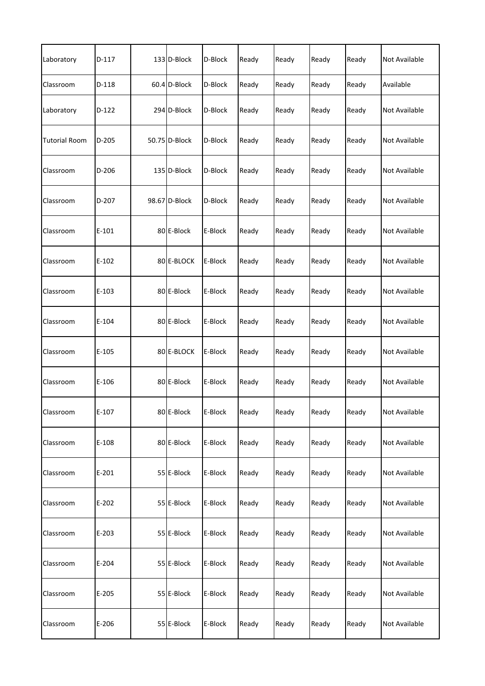| Laboratory           | $D-117$ | 133 D-Block   | D-Block | Ready | Ready | Ready | Ready | <b>Not Available</b> |
|----------------------|---------|---------------|---------|-------|-------|-------|-------|----------------------|
| Classroom            | $D-118$ | 60.4 D-Block  | D-Block | Ready | Ready | Ready | Ready | Available            |
| Laboratory           | $D-122$ | 294 D-Block   | D-Block | Ready | Ready | Ready | Ready | Not Available        |
| <b>Tutorial Room</b> | $D-205$ | 50.75 D-Block | D-Block | Ready | Ready | Ready | Ready | Not Available        |
| Classroom            | $D-206$ | 135 D-Block   | D-Block | Ready | Ready | Ready | Ready | <b>Not Available</b> |
| Classroom            | D-207   | 98.67 D-Block | D-Block | Ready | Ready | Ready | Ready | Not Available        |
| Classroom            | $E-101$ | 80 E-Block    | E-Block | Ready | Ready | Ready | Ready | Not Available        |
| Classroom            | $E-102$ | 80 E-BLOCK    | E-Block | Ready | Ready | Ready | Ready | Not Available        |
| Classroom            | $E-103$ | 80 E-Block    | E-Block | Ready | Ready | Ready | Ready | Not Available        |
| Classroom            | $E-104$ | 80 E-Block    | E-Block | Ready | Ready | Ready | Ready | <b>Not Available</b> |
| Classroom            | $E-105$ | 80 E-BLOCK    | E-Block | Ready | Ready | Ready | Ready | Not Available        |
| Classroom            | $E-106$ | 80 E-Block    | E-Block | Ready | Ready | Ready | Ready | Not Available        |
| Classroom            | $E-107$ | 80 E-Block    | E-Block | Ready | Ready | Ready | Ready | Not Available        |
| Classroom            | $E-108$ | 80 E-Block    | E-Block | Ready | Ready | Ready | Ready | Not Available        |
| Classroom            | $E-201$ | 55 E-Block    | E-Block | Ready | Ready | Ready | Ready | Not Available        |
| Classroom            | $E-202$ | 55 E-Block    | E-Block | Ready | Ready | Ready | Ready | Not Available        |
| Classroom            | $E-203$ | 55 E-Block    | E-Block | Ready | Ready | Ready | Ready | Not Available        |
| Classroom            | $E-204$ | 55 E-Block    | E-Block | Ready | Ready | Ready | Ready | Not Available        |
| Classroom            | $E-205$ | 55 E-Block    | E-Block | Ready | Ready | Ready | Ready | Not Available        |
| Classroom            | E-206   | 55 E-Block    | E-Block | Ready | Ready | Ready | Ready | Not Available        |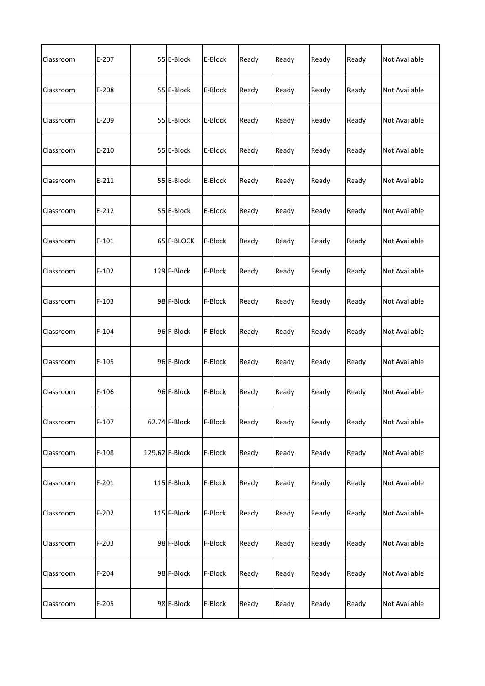| Classroom | $E-207$   | 55 E-Block     | E-Block | Ready | Ready | Ready | Ready | <b>Not Available</b> |
|-----------|-----------|----------------|---------|-------|-------|-------|-------|----------------------|
| Classroom | E-208     | 55 E-Block     | E-Block | Ready | Ready | Ready | Ready | Not Available        |
| Classroom | E-209     | 55 E-Block     | E-Block | Ready | Ready | Ready | Ready | Not Available        |
| Classroom | $E - 210$ | 55 E-Block     | E-Block | Ready | Ready | Ready | Ready | Not Available        |
| Classroom | $E-211$   | 55 E-Block     | E-Block | Ready | Ready | Ready | Ready | <b>Not Available</b> |
| Classroom | $E-212$   | 55 E-Block     | E-Block | Ready | Ready | Ready | Ready | <b>Not Available</b> |
| Classroom | $F-101$   | 65 F-BLOCK     | F-Block | Ready | Ready | Ready | Ready | <b>Not Available</b> |
| Classroom | $F-102$   | 129 F-Block    | F-Block | Ready | Ready | Ready | Ready | <b>Not Available</b> |
| Classroom | $F-103$   | 98 F-Block     | F-Block | Ready | Ready | Ready | Ready | Not Available        |
| Classroom | $F-104$   | 96 F-Block     | F-Block | Ready | Ready | Ready | Ready | <b>Not Available</b> |
| Classroom | $F-105$   | 96 F-Block     | F-Block | Ready | Ready | Ready | Ready | <b>Not Available</b> |
| Classroom | $F-106$   | 96 F-Block     | F-Block | Ready | Ready | Ready | Ready | Not Available        |
| Classroom | $F-107$   | 62.74 F-Block  | F-Block | Ready | Ready | Ready | Ready | Not Available        |
| Classroom | $F-108$   | 129.62 F-Block | F-Block | Ready | Ready | Ready | Ready | <b>Not Available</b> |
| Classroom | $F-201$   | 115 F-Block    | F-Block | Ready | Ready | Ready | Ready | Not Available        |
| Classroom | $F-202$   | 115 F-Block    | F-Block | Ready | Ready | Ready | Ready | Not Available        |
| Classroom | $F-203$   | 98 F-Block     | F-Block | Ready | Ready | Ready | Ready | Not Available        |
| Classroom | $F-204$   | 98 F-Block     | F-Block | Ready | Ready | Ready | Ready | Not Available        |
| Classroom | $F-205$   | 98 F-Block     | F-Block | Ready | Ready | Ready | Ready | Not Available        |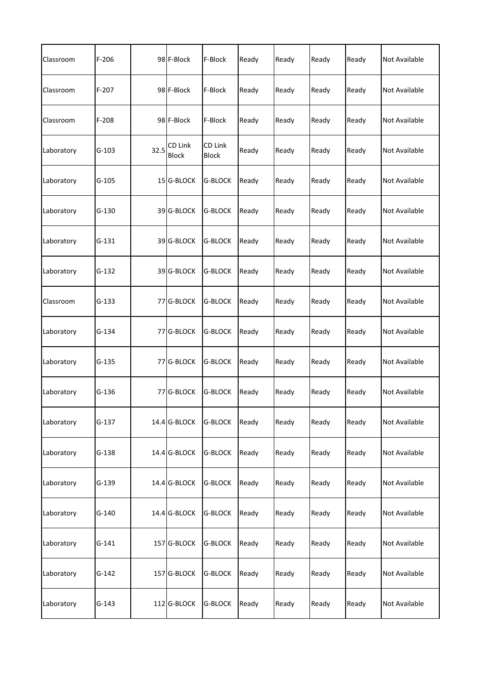| Classroom  | $F-206$ |      | 98 F-Block              | F-Block                 | Ready | Ready | Ready | Ready | <b>Not Available</b> |
|------------|---------|------|-------------------------|-------------------------|-------|-------|-------|-------|----------------------|
| Classroom  | $F-207$ |      | 98 F-Block              | F-Block                 | Ready | Ready | Ready | Ready | Not Available        |
| Classroom  | $F-208$ |      | 98 F-Block              | F-Block                 | Ready | Ready | Ready | Ready | Not Available        |
| Laboratory | G-103   | 32.5 | CD Link<br><b>Block</b> | CD Link<br><b>Block</b> | Ready | Ready | Ready | Ready | Not Available        |
| Laboratory | $G-105$ |      | 15 G-BLOCK              | <b>G-BLOCK</b>          | Ready | Ready | Ready | Ready | <b>Not Available</b> |
| Laboratory | $G-130$ |      | 39 G-BLOCK              | <b>G-BLOCK</b>          | Ready | Ready | Ready | Ready | <b>Not Available</b> |
| Laboratory | $G-131$ |      | 39 G-BLOCK              | <b>G-BLOCK</b>          | Ready | Ready | Ready | Ready | <b>Not Available</b> |
| Laboratory | $G-132$ |      | 39 G-BLOCK              | <b>G-BLOCK</b>          | Ready | Ready | Ready | Ready | <b>Not Available</b> |
| Classroom  | $G-133$ |      | 77 G-BLOCK              | <b>G-BLOCK</b>          | Ready | Ready | Ready | Ready | Not Available        |
| Laboratory | $G-134$ | 77   | <b>G-BLOCK</b>          | <b>G-BLOCK</b>          | Ready | Ready | Ready | Ready | <b>Not Available</b> |
| Laboratory | $G-135$ |      | 77 G-BLOCK              | <b>G-BLOCK</b>          | Ready | Ready | Ready | Ready | <b>Not Available</b> |
| Laboratory | G-136   |      | 77 G-BLOCK              | <b>G-BLOCK</b>          | Ready | Ready | Ready | Ready | Not Available        |
| Laboratory | $G-137$ |      | 14.4 G-BLOCK            | <b>G-BLOCK</b>          | Ready | Ready | Ready | Ready | Not Available        |
| Laboratory | $G-138$ |      | 14.4 G-BLOCK            | <b>G-BLOCK</b>          | Ready | Ready | Ready | Ready | <b>Not Available</b> |
| Laboratory | G-139   |      | 14.4 G-BLOCK            | <b>G-BLOCK</b>          | Ready | Ready | Ready | Ready | Not Available        |
| Laboratory | $G-140$ |      | 14.4 G-BLOCK            | <b>G-BLOCK</b>          | Ready | Ready | Ready | Ready | <b>Not Available</b> |
| Laboratory | $G-141$ |      | 157 G-BLOCK             | G-BLOCK                 | Ready | Ready | Ready | Ready | Not Available        |
| Laboratory | $G-142$ |      | 157 G-BLOCK             | <b>G-BLOCK</b>          | Ready | Ready | Ready | Ready | Not Available        |
| Laboratory | $G-143$ |      | 112 G-BLOCK             | <b>G-BLOCK</b>          | Ready | Ready | Ready | Ready | Not Available        |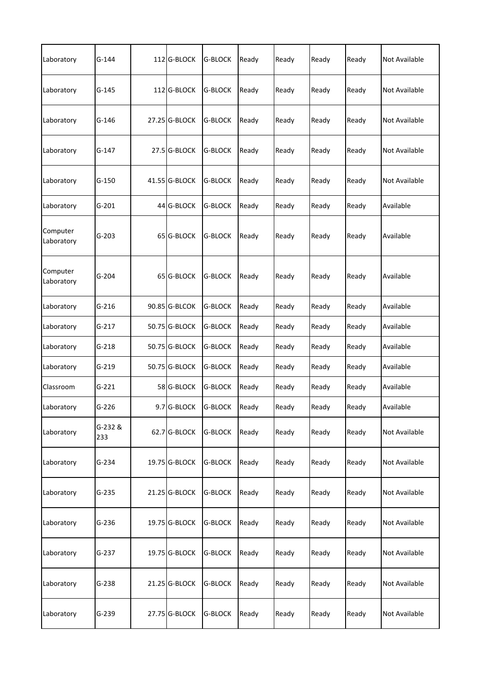| Laboratory             | $G-144$        | 112 G-BLOCK   | <b>G-BLOCK</b> | Ready | Ready | Ready | Ready | <b>Not Available</b> |
|------------------------|----------------|---------------|----------------|-------|-------|-------|-------|----------------------|
| Laboratory             | $G-145$        | 112 G-BLOCK   | G-BLOCK        | Ready | Ready | Ready | Ready | Not Available        |
| Laboratory             | $G-146$        | 27.25 G-BLOCK | <b>G-BLOCK</b> | Ready | Ready | Ready | Ready | <b>Not Available</b> |
| Laboratory             | $G-147$        | 27.5 G-BLOCK  | <b>G-BLOCK</b> | Ready | Ready | Ready | Ready | <b>Not Available</b> |
| Laboratory             | $G-150$        | 41.55 G-BLOCK | <b>G-BLOCK</b> | Ready | Ready | Ready | Ready | <b>Not Available</b> |
| Laboratory             | $G-201$        | 44 G-BLOCK    | <b>G-BLOCK</b> | Ready | Ready | Ready | Ready | Available            |
| Computer<br>Laboratory | $G-203$        | 65 G-BLOCK    | <b>G-BLOCK</b> | Ready | Ready | Ready | Ready | Available            |
| Computer<br>Laboratory | G-204          | 65 G-BLOCK    | <b>G-BLOCK</b> | Ready | Ready | Ready | Ready | Available            |
| Laboratory             | $G-216$        | 90.85 G-BLCOK | <b>G-BLOCK</b> | Ready | Ready | Ready | Ready | Available            |
| Laboratory             | $G-217$        | 50.75 G-BLOCK | <b>G-BLOCK</b> | Ready | Ready | Ready | Ready | Available            |
| Laboratory             | $G-218$        | 50.75 G-BLOCK | <b>G-BLOCK</b> | Ready | Ready | Ready | Ready | Available            |
| Laboratory             | $G-219$        | 50.75 G-BLOCK | <b>G-BLOCK</b> | Ready | Ready | Ready | Ready | Available            |
| Classroom              | $G-221$        | 58 G-BLOCK    | <b>G-BLOCK</b> | Ready | Ready | Ready | Ready | Available            |
| Laboratory             | $G-226$        | 9.7 G-BLOCK   | <b>G-BLOCK</b> | Ready | Ready | Ready | Ready | Available            |
| Laboratory             | G-232 &<br>233 | 62.7 G-BLOCK  | <b>G-BLOCK</b> | Ready | Ready | Ready | Ready | <b>Not Available</b> |
| Laboratory             | $G-234$        | 19.75 G-BLOCK | <b>G-BLOCK</b> | Ready | Ready | Ready | Ready | Not Available        |
| Laboratory             | $G-235$        | 21.25 G-BLOCK | <b>G-BLOCK</b> | Ready | Ready | Ready | Ready | Not Available        |
| Laboratory             | $G-236$        | 19.75 G-BLOCK | <b>G-BLOCK</b> | Ready | Ready | Ready | Ready | <b>Not Available</b> |
| Laboratory             | $G-237$        | 19.75 G-BLOCK | <b>G-BLOCK</b> | Ready | Ready | Ready | Ready | Not Available        |
| Laboratory             | $G-238$        | 21.25 G-BLOCK | <b>G-BLOCK</b> | Ready | Ready | Ready | Ready | Not Available        |
| Laboratory             | G-239          | 27.75 G-BLOCK | <b>G-BLOCK</b> | Ready | Ready | Ready | Ready | Not Available        |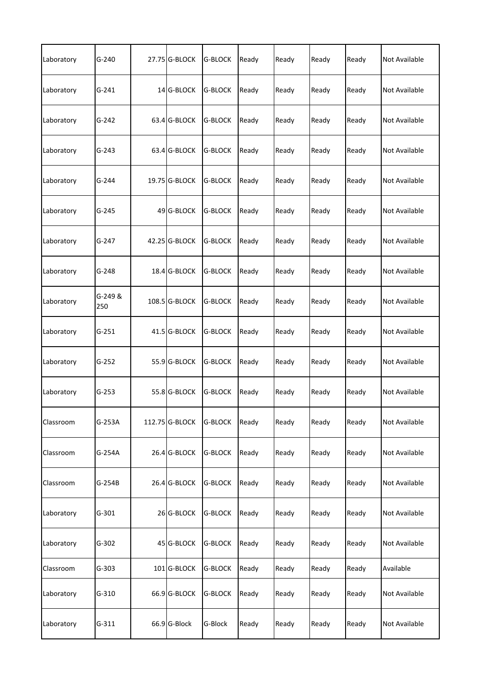| Laboratory | $G-240$        | 27.75 G-BLOCK  | <b>G-BLOCK</b> | Ready | Ready | Ready | Ready | <b>Not Available</b> |
|------------|----------------|----------------|----------------|-------|-------|-------|-------|----------------------|
| Laboratory | $G-241$        | 14 G-BLOCK     | <b>G-BLOCK</b> | Ready | Ready | Ready | Ready | Not Available        |
| Laboratory | $G-242$        | 63.4 G-BLOCK   | <b>G-BLOCK</b> | Ready | Ready | Ready | Ready | Not Available        |
| Laboratory | G-243          | 63.4 G-BLOCK   | G-BLOCK        | Ready | Ready | Ready | Ready | Not Available        |
| Laboratory | $G-244$        | 19.75 G-BLOCK  | <b>G-BLOCK</b> | Ready | Ready | Ready | Ready | <b>Not Available</b> |
| Laboratory | $G-245$        | 49 G-BLOCK     | <b>G-BLOCK</b> | Ready | Ready | Ready | Ready | <b>Not Available</b> |
| Laboratory | $G-247$        | 42.25 G-BLOCK  | <b>G-BLOCK</b> | Ready | Ready | Ready | Ready | <b>Not Available</b> |
| Laboratory | G-248          | 18.4 G-BLOCK   | <b>G-BLOCK</b> | Ready | Ready | Ready | Ready | <b>Not Available</b> |
| Laboratory | G-249 &<br>250 | 108.5 G-BLOCK  | <b>G-BLOCK</b> | Ready | Ready | Ready | Ready | Not Available        |
| Laboratory | $G-251$        | 41.5 G-BLOCK   | <b>G-BLOCK</b> | Ready | Ready | Ready | Ready | <b>Not Available</b> |
| Laboratory | $G-252$        | 55.9 G-BLOCK   | <b>G-BLOCK</b> | Ready | Ready | Ready | Ready | <b>Not Available</b> |
| Laboratory | $G-253$        | 55.8 G-BLOCK   | <b>G-BLOCK</b> | Ready | Ready | Ready | Ready | Not Available        |
| Classroom  | G-253A         | 112.75 G-BLOCK | <b>G-BLOCK</b> | Ready | Ready | Ready | Ready | Not Available        |
| Classroom  | G-254A         | 26.4 G-BLOCK   | <b>G-BLOCK</b> | Ready | Ready | Ready | Ready | <b>Not Available</b> |
| Classroom  | $G-254B$       | 26.4 G-BLOCK   | <b>G-BLOCK</b> | Ready | Ready | Ready | Ready | Not Available        |
| Laboratory | $G-301$        | 26 G-BLOCK     | <b>G-BLOCK</b> | Ready | Ready | Ready | Ready | Not Available        |
| Laboratory | $G-302$        | 45 G-BLOCK     | G-BLOCK        | Ready | Ready | Ready | Ready | Not Available        |
| Classroom  | $G-303$        | 101 G-BLOCK    | <b>G-BLOCK</b> | Ready | Ready | Ready | Ready | Available            |
| Laboratory | $G-310$        | 66.9 G-BLOCK   | <b>G-BLOCK</b> | Ready | Ready | Ready | Ready | Not Available        |
| Laboratory | $G-311$        | 66.9 G-Block   | G-Block        | Ready | Ready | Ready | Ready | Not Available        |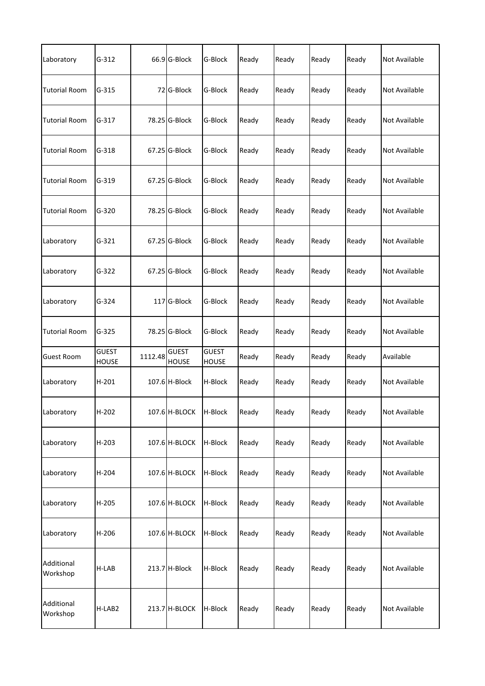| Laboratory             | $G-312$                      |         | 66.9 G-Block                 | G-Block                      | Ready | Ready | Ready | Ready | Not Available        |
|------------------------|------------------------------|---------|------------------------------|------------------------------|-------|-------|-------|-------|----------------------|
| <b>Tutorial Room</b>   | $G-315$                      |         | 72 G-Block                   | G-Block                      | Ready | Ready | Ready | Ready | Not Available        |
| <b>Tutorial Room</b>   | $G-317$                      |         | 78.25 G-Block                | G-Block                      | Ready | Ready | Ready | Ready | Not Available        |
| <b>Tutorial Room</b>   | $G-318$                      |         | 67.25 G-Block                | G-Block                      | Ready | Ready | Ready | Ready | Not Available        |
| <b>Tutorial Room</b>   | $G-319$                      |         | 67.25 G-Block                | G-Block                      | Ready | Ready | Ready | Ready | <b>Not Available</b> |
| <b>Tutorial Room</b>   | $G-320$                      |         | 78.25 G-Block                | G-Block                      | Ready | Ready | Ready | Ready | Not Available        |
| Laboratory             | $G-321$                      |         | 67.25 G-Block                | G-Block                      | Ready | Ready | Ready | Ready | Not Available        |
| Laboratory             | $G-322$                      |         | 67.25 G-Block                | G-Block                      | Ready | Ready | Ready | Ready | Not Available        |
| Laboratory             | $G-324$                      |         | 117 G-Block                  | G-Block                      | Ready | Ready | Ready | Ready | Not Available        |
| <b>Tutorial Room</b>   | $G-325$                      |         | 78.25 G-Block                | G-Block                      | Ready | Ready | Ready | Ready | Not Available        |
| <b>Guest Room</b>      | <b>GUEST</b><br><b>HOUSE</b> | 1112.48 | <b>GUEST</b><br><b>HOUSE</b> | <b>GUEST</b><br><b>HOUSE</b> | Ready | Ready | Ready | Ready | Available            |
| Laboratory             | $H-201$                      |         | 107.6 H-Block                | H-Block                      | Ready | Ready | Ready | Ready | Not Available        |
| Laboratory             | $H-202$                      |         | 107.6 H-BLOCK H-Block        |                              | Ready | Ready | Ready | Ready | Not Available        |
| Laboratory             | $H-203$                      |         | 107.6 H-BLOCK                | H-Block                      | Ready | Ready | Ready | Ready | <b>Not Available</b> |
| Laboratory             | $H-204$                      |         | 107.6 H-BLOCK                | H-Block                      | Ready | Ready | Ready | Ready | Not Available        |
| Laboratory             | $H-205$                      |         | 107.6 H-BLOCK                | H-Block                      | Ready | Ready | Ready | Ready | Not Available        |
| Laboratory             | H-206                        |         | 107.6 H-BLOCK                | H-Block                      | Ready | Ready | Ready | Ready | Not Available        |
| Additional<br>Workshop | H-LAB                        |         | 213.7 H-Block                | H-Block                      | Ready | Ready | Ready | Ready | Not Available        |
| Additional<br>Workshop | H-LAB2                       |         | 213.7 H-BLOCK                | H-Block                      | Ready | Ready | Ready | Ready | Not Available        |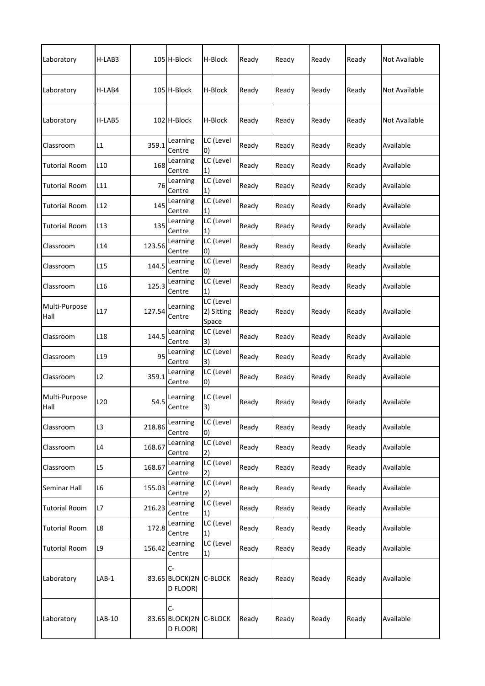| Laboratory            | H-LAB3          |        | 105 H-Block                        | H-Block                                                     | Ready | Ready | Ready | Ready | Not Available |
|-----------------------|-----------------|--------|------------------------------------|-------------------------------------------------------------|-------|-------|-------|-------|---------------|
| Laboratory            | H-LAB4          |        | 105 H-Block                        | H-Block                                                     | Ready | Ready | Ready | Ready | Not Available |
| Laboratory            | H-LAB5          |        | 102 H-Block                        | H-Block                                                     | Ready | Ready | Ready | Ready | Not Available |
| Classroom             | L1              | 359.1  | Learning<br>Centre                 | LC (Level<br>$\vert 0 \rangle$                              | Ready | Ready | Ready | Ready | Available     |
| <b>Tutorial Room</b>  | L <sub>10</sub> | 168    | Learning<br>Centre                 | LC (Level<br>1)                                             | Ready | Ready | Ready | Ready | Available     |
| <b>Tutorial Room</b>  | L11             | 76     | Learning<br>Centre                 | LC (Level<br>1)                                             | Ready | Ready | Ready | Ready | Available     |
| Tutorial Room         | L12             | 145    | Learning<br>Centre                 | LC (Level<br>1)                                             | Ready | Ready | Ready | Ready | Available     |
| Tutorial Room         | L13             | 135    | Learning<br>Centre                 | LC (Level<br>1)                                             | Ready | Ready | Ready | Ready | Available     |
| Classroom             | L14             | 123.56 | Learning<br>Centre                 | LC (Level<br>0)                                             | Ready | Ready | Ready | Ready | Available     |
| Classroom             | L15             | 144.5  | Learning<br>Centre                 | LC (Level<br>0)                                             | Ready | Ready | Ready | Ready | Available     |
| Classroom             | L16             | 125.3  | Learning<br>Centre                 | LC (Level<br>1)                                             | Ready | Ready | Ready | Ready | Available     |
| Multi-Purpose<br>Hall | L17             | 127.54 | Learning<br>Centre                 | LC (Level<br>2) Sitting<br>Space                            | Ready | Ready | Ready | Ready | Available     |
| Classroom             | L <sub>18</sub> | 144.5  | Learning<br>Centre                 | LC (Level<br>3)                                             | Ready | Ready | Ready | Ready | Available     |
| Classroom             | L <sub>19</sub> | 95     | Learning<br>Centre                 | LC (Level<br>3)                                             | Ready | Ready | Ready | Ready | Available     |
| Classroom             | L <sub>2</sub>  | 359.1  | Learning<br>Centre                 | LC (Level<br>0)                                             | Ready | Ready | Ready | Ready | Available     |
| Multi-Purpose<br>Hall | L <sub>20</sub> | 54.5   | Learning<br>Centre                 | LC (Level<br> 3)                                            | Ready | Ready | Ready | Ready | Available     |
| Classroom             | L3              | 218.86 | Learning<br>Centre                 | LC (Level<br>$\vert 0\rangle$                               | Ready | Ready | Ready | Ready | Available     |
| Classroom             | L4              | 168.67 | Learning<br>Centre                 | LC (Level<br>2)                                             | Ready | Ready | Ready | Ready | Available     |
| Classroom             | L5              | 168.67 | Learning<br>Centre                 | LC (Level<br>2)                                             | Ready | Ready | Ready | Ready | Available     |
| Seminar Hall          | L6              | 155.03 | Learning<br>Centre                 | $\overline{LC}$ (Level<br>2)                                | Ready | Ready | Ready | Ready | Available     |
| <b>Tutorial Room</b>  | L7              | 216.23 | Learning<br>Centre                 | LC (Level<br>1)                                             | Ready | Ready | Ready | Ready | Available     |
| <b>Tutorial Room</b>  | L8              | 172.8  | Learning<br>Centre                 | LC (Level<br>1)                                             | Ready | Ready | Ready | Ready | Available     |
| <b>Tutorial Room</b>  | L9              | 156.42 | Learning<br>Centre                 | LC (Level<br>$\left( \begin{matrix} 1 \end{matrix} \right)$ | Ready | Ready | Ready | Ready | Available     |
| Laboratory            | $LAB-1$         |        | C-<br>83.65 BLOCK(2N<br>D FLOOR)   | C-BLOCK                                                     | Ready | Ready | Ready | Ready | Available     |
| Laboratory            | LAB-10          |        | $C-$<br>83.65 BLOCK(2N<br>D FLOOR) | C-BLOCK                                                     | Ready | Ready | Ready | Ready | Available     |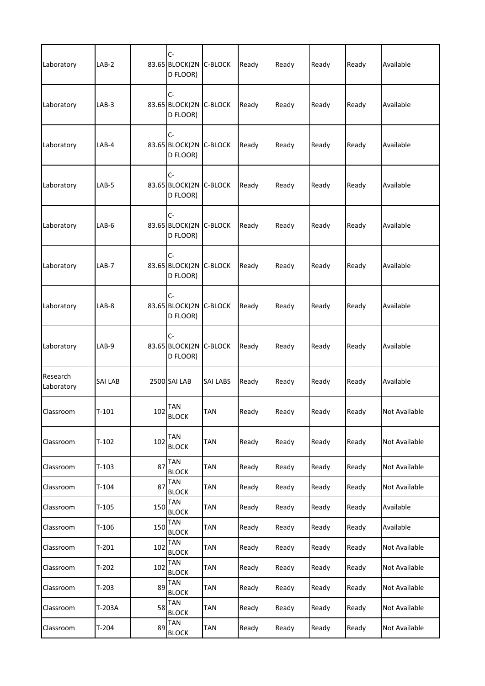| Laboratory             | LAB-2          |     | $C -$<br>83.65 BLOCK(2N C-BLOCK<br>D FLOOR) |                 | Ready | Ready | Ready | Ready | Available     |
|------------------------|----------------|-----|---------------------------------------------|-----------------|-------|-------|-------|-------|---------------|
| Laboratory             | LAB-3          |     | $C -$<br>83.65 BLOCK(2N<br>D FLOOR)         | <b>C-BLOCK</b>  | Ready | Ready | Ready | Ready | Available     |
| Laboratory             | LAB-4          |     | $C -$<br>83.65 BLOCK(2N C-BLOCK<br>D FLOOR) |                 | Ready | Ready | Ready | Ready | Available     |
| Laboratory             | $LAB-5$        |     | $C -$<br>83.65 BLOCK(2N C-BLOCK<br>D FLOOR) |                 | Ready | Ready | Ready | Ready | Available     |
| Laboratory             | LAB-6          |     | $C -$<br>83.65 BLOCK(2N C-BLOCK<br>D FLOOR) |                 | Ready | Ready | Ready | Ready | Available     |
| Laboratory             | LAB-7          |     | $C -$<br>83.65 BLOCK(2N C-BLOCK<br>D FLOOR) |                 | Ready | Ready | Ready | Ready | Available     |
| Laboratory             | LAB-8          |     | $C -$<br>83.65 BLOCK(2N C-BLOCK<br>D FLOOR) |                 | Ready | Ready | Ready | Ready | Available     |
| Laboratory             | LAB-9          |     | $C -$<br>83.65 BLOCK(2N C-BLOCK<br>D FLOOR) |                 | Ready | Ready | Ready | Ready | Available     |
| Research<br>Laboratory | <b>SAI LAB</b> |     | 2500 SAI LAB                                | <b>SAI LABS</b> | Ready | Ready | Ready | Ready | Available     |
| Classroom              | $T-101$        |     | 102 TAN<br><b>BLOCK</b>                     | TAN             | Ready | Ready | Ready | Ready | Not Available |
| Classroom              | $T-102$        | 102 | <b>TAN</b><br><b>BLOCK</b>                  | TAN             | Ready | Ready | Ready | Ready | Not Available |
| Classroom              | $T-103$        | 87  | <b>TAN</b><br><b>BLOCK</b>                  | <b>TAN</b>      | Ready | Ready | Ready | Ready | Not Available |
| Classroom              | $T-104$        | 87  | <b>TAN</b><br><b>BLOCK</b>                  | TAN             | Ready | Ready | Ready | Ready | Not Available |
| Classroom              | $T-105$        | 150 | <b>TAN</b><br><b>BLOCK</b>                  | <b>TAN</b>      | Ready | Ready | Ready | Ready | Available     |
| Classroom              | $T-106$        | 150 | <b>TAN</b><br><b>BLOCK</b>                  | TAN             | Ready | Ready | Ready | Ready | Available     |
| Classroom              | $T-201$        | 102 | <b>TAN</b><br><b>BLOCK</b>                  | <b>TAN</b>      | Ready | Ready | Ready | Ready | Not Available |
| Classroom              | $T-202$        | 102 | <b>TAN</b><br><b>BLOCK</b>                  | TAN             | Ready | Ready | Ready | Ready | Not Available |
| Classroom              | $T-203$        | 89  | <b>TAN</b><br><b>BLOCK</b>                  | TAN             | Ready | Ready | Ready | Ready | Not Available |
| Classroom              | T-203A         | 58  | <b>TAN</b><br><b>BLOCK</b>                  | TAN             | Ready | Ready | Ready | Ready | Not Available |
| Classroom              | $T-204$        | 89  | <b>TAN</b><br><b>BLOCK</b>                  | TAN             | Ready | Ready | Ready | Ready | Not Available |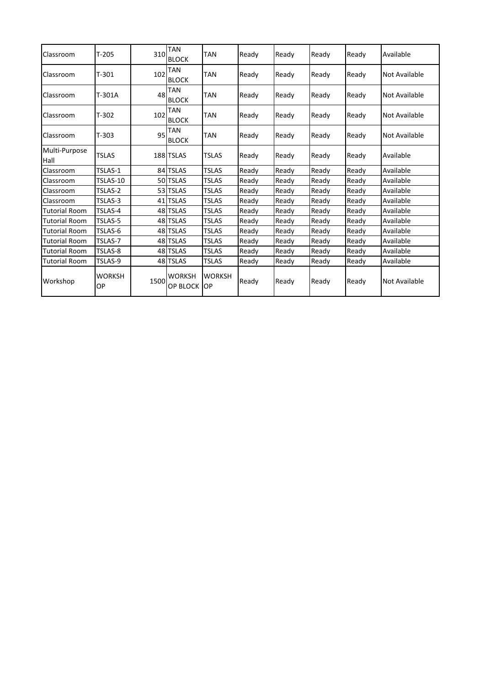| Classroom             | $T-205$             | 310  | <b>TAN</b><br><b>BLOCK</b>       | <b>TAN</b>                 | Ready | Ready | Ready | Ready | Available            |  |
|-----------------------|---------------------|------|----------------------------------|----------------------------|-------|-------|-------|-------|----------------------|--|
| Classroom             | $T-301$             | 102  | <b>TAN</b><br><b>BLOCK</b>       | <b>TAN</b>                 | Ready | Ready | Ready | Ready | <b>Not Available</b> |  |
| Classroom             | T-301A              | 48   | <b>TAN</b><br><b>BLOCK</b>       | <b>TAN</b>                 | Ready | Ready | Ready | Ready | <b>Not Available</b> |  |
| Classroom             | $T-302$             | 102  | <b>TAN</b><br><b>BLOCK</b>       | <b>TAN</b>                 | Ready | Ready | Ready | Ready | <b>Not Available</b> |  |
| Classroom             | $T-303$             | 95   | <b>TAN</b><br><b>BLOCK</b>       | <b>TAN</b>                 | Ready | Ready | Ready | Ready | Not Available        |  |
| Multi-Purpose<br>Hall | <b>TSLAS</b>        |      | 188 TSLAS                        | <b>TSLAS</b>               | Ready | Ready | Ready | Ready | Available            |  |
| Classroom             | TSLAS-1             |      | 84 TSLAS                         | <b>TSLAS</b>               | Ready | Ready | Ready | Ready | Available            |  |
| Classroom             | TSLAS-10            |      | 50 TSLAS                         | <b>TSLAS</b>               | Ready | Ready | Ready | Ready | Available            |  |
| Classroom             | TSLAS-2             |      | 53 TSLAS                         | <b>TSLAS</b>               | Ready | Ready | Ready | Ready | Available            |  |
| Classroom             | TSLAS-3             |      | 41 TSLAS                         | <b>TSLAS</b>               | Ready | Ready | Ready | Ready | Available            |  |
| <b>Tutorial Room</b>  | TSLAS-4             |      | 48 TSLAS                         | <b>TSLAS</b>               | Ready | Ready | Ready | Ready | Available            |  |
| <b>Tutorial Room</b>  | TSLAS-5             |      | 48 TSLAS                         | <b>TSLAS</b>               | Ready | Ready | Ready | Ready | Available            |  |
| <b>Tutorial Room</b>  | TSLAS-6             |      | 48 TSLAS                         | <b>TSLAS</b>               | Ready | Ready | Ready | Ready | Available            |  |
| <b>Tutorial Room</b>  | TSLAS-7             |      | 48 TSLAS                         | <b>TSLAS</b>               | Ready | Ready | Ready | Ready | Available            |  |
| <b>Tutorial Room</b>  | TSLAS-8             |      | 48 TSLAS                         | <b>TSLAS</b>               | Ready | Ready | Ready | Ready | Available            |  |
| <b>Tutorial Room</b>  | TSLAS-9             |      | 48 TSLAS                         | <b>TSLAS</b>               | Ready | Ready | Ready | Ready | Available            |  |
| Workshop              | <b>WORKSH</b><br>ОP | 1500 | <b>WORKSH</b><br><b>OP BLOCK</b> | <b>WORKSH</b><br><b>OP</b> | Ready | Ready | Ready | Ready | <b>Not Available</b> |  |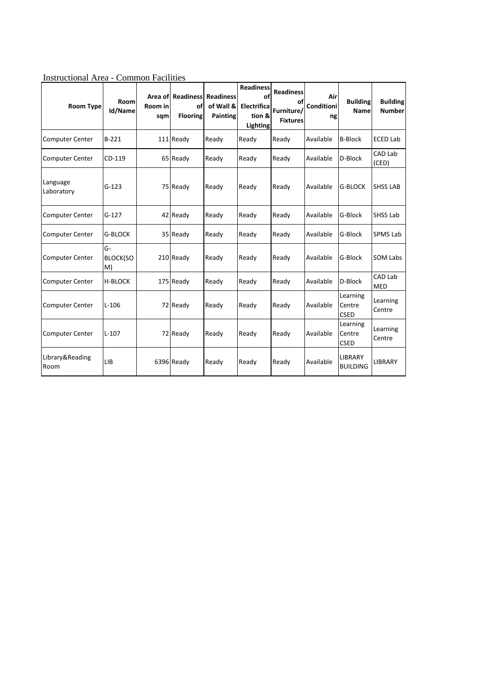| <b>Room Type</b>        | Room<br>Id/Name             | Room in<br>sqm | <b>Area of Readiness</b><br>οf<br><b>Flooring</b> | <b>Readiness</b><br>of Wall &<br><b>Painting</b> | <b>Readiness</b><br>of<br>Electrifica<br>tion &<br><b>Lighting</b> | <b>Readiness</b><br>Furniture/<br><b>Fixtures</b> | Air<br>Conditioni<br>ng | <b>Building</b><br><b>Name</b>    | <b>Building</b><br><b>Number</b> |
|-------------------------|-----------------------------|----------------|---------------------------------------------------|--------------------------------------------------|--------------------------------------------------------------------|---------------------------------------------------|-------------------------|-----------------------------------|----------------------------------|
| <b>Computer Center</b>  | $B-221$                     |                | 111 Ready                                         | Ready                                            | Ready                                                              | Ready                                             | Available               | <b>B-Block</b>                    | <b>ECED Lab</b>                  |
| <b>Computer Center</b>  | CD-119                      |                | 65 Ready                                          | Ready                                            | Ready                                                              | Ready                                             | Available               | D-Block                           | CAD Lab<br>(CED)                 |
| Language<br>Laboratory  | $G-123$                     |                | 75 Ready                                          | Ready                                            | Ready                                                              | Ready                                             | Available               | <b>G-BLOCK</b>                    | <b>SHSS LAB</b>                  |
| <b>Computer Center</b>  | $G-127$                     |                | 42 Ready                                          | Ready                                            | Ready                                                              | Ready                                             | Available               | G-Block                           | SHSS Lab                         |
| Computer Center         | G-BLOCK                     |                | 35 Ready                                          | Ready                                            | Ready                                                              | Ready                                             | Available               | G-Block                           | SPMS Lab                         |
| <b>Computer Center</b>  | G-<br><b>BLOCK(SO</b><br>M) |                | 210 Ready                                         | Ready                                            | Ready                                                              | Ready                                             | Available               | G-Block                           | <b>SOM Labs</b>                  |
| <b>Computer Center</b>  | <b>H-BLOCK</b>              |                | 175 Ready                                         | Ready                                            | Ready                                                              | Ready                                             | Available               | D-Block                           | CAD Lab<br><b>MED</b>            |
| <b>Computer Center</b>  | $L-106$                     |                | 72 Ready                                          | Ready                                            | Ready                                                              | Ready                                             | Available               | Learning<br>Centre<br><b>CSED</b> | Learning<br>Centre               |
| <b>Computer Center</b>  | $L-107$                     |                | 72 Ready                                          | Ready                                            | Ready                                                              | Ready                                             | Available               | Learning<br>Centre<br><b>CSED</b> | Learning<br>Centre               |
| Library&Reading<br>Room | LIB                         |                | 6396 Ready                                        | Ready                                            | Ready                                                              | Ready                                             | Available               | <b>LIBRARY</b><br><b>BUILDING</b> | <b>LIBRARY</b>                   |

Instructional Area - Common Facilities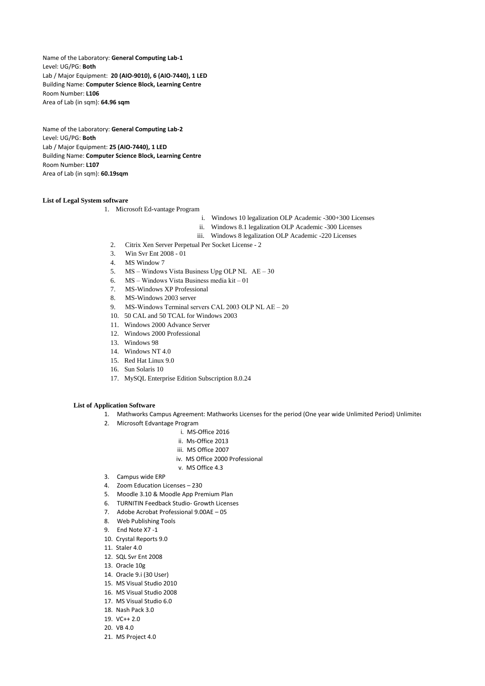Name of the Laboratory: **General Computing Lab-1** Level: UG/PG: **Both** Lab / Major Equipment: **20 (AIO-9010), 6 (AIO-7440), 1 LED** Building Name: **Computer Science Block, Learning Centre** Room Number: **L106** Area of Lab (in sqm): **64.96 sqm**

Name of the Laboratory: **General Computing Lab-2** Level: UG/PG: **Both** Lab / Major Equipment: **25 (AIO-7440), 1 LED** Building Name: **Computer Science Block, Learning Centre** Room Number: **L107** Area of Lab (in sqm): **60.19sqm**

## **List of Legal System software**

1. Microsoft Ed-vantage Program

- i. Windows 10 legalization OLP Academic -300+300 Licenses
- ii. Windows 8.1 legalization OLP Academic -300 Licenses
- iii. Windows 8 legalization OLP Academic -220 Licenses
- 2. Citrix Xen Server Perpetual Per Socket License 2
- 3. Win Svr Ent 2008 01
- 4. MS Window 7
- 5. MS Windows Vista Business Upg OLP NL AE 30
- 6. MS Windows Vista Business media kit 01
- 7. MS-Windows XP Professional
- 8. MS-Windows 2003 server
- 9. MS-Windows Terminal servers CAL 2003 OLP NL AE 20
- 10. 50 CAL and 50 TCAL for Windows 2003
- 11. Windows 2000 Advance Server
- 12. Windows 2000 Professional
- 13. Windows 98
- 14. Windows NT 4.0
- 15. Red Hat Linux 9.0
- 16. Sun Solaris 10
- 17. MySQL Enterprise Edition Subscription 8.0.24

## **List of Application Software**

- 1. Mathworks Campus Agreement: Mathworks Licenses for the period (One year wide Unlimited Period) Unlimited
- 2. Microsoft Edvantage Program
	- i. MS-Office 2016
	- ii. Ms-Office 2013
	- iii. MS Office 2007
	- iv. MS Office 2000 Professional
	- v. MS Office 4.3
- 3. Campus wide ERP
- 4. Zoom Education Licenses 230
- 5. Moodle 3.10 & Moodle App Premium Plan
- 6. TURNITIN Feedback Studio- Growth Licenses
- 7. Adobe Acrobat Professional 9.00AE 05
- 8. Web Publishing Tools
- 9. End Note X7 -1
- 10. Crystal Reports 9.0
- 11. Staler  $4.0$
- 12. SQL Svr Ent 2008
- 13. Oracle 10g
- 14. Oracle 9.i (30 User)
- 15. MS Visual Studio 2010
- 16. MS Visual Studio 2008
- 17. MS Visual Studio 6.0
- 18. Nash Pack 3.0
- 19. VC++ 2.0
- 20. VB 4.0
- 21. MS Project 4.0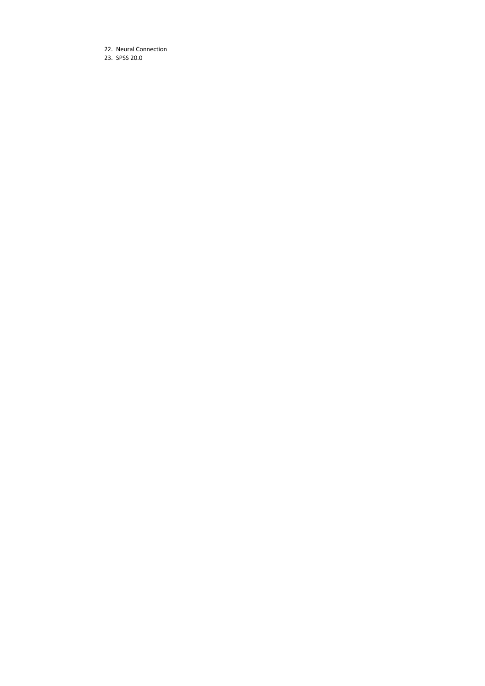22. Neural Connection 23. SPSS 20.0